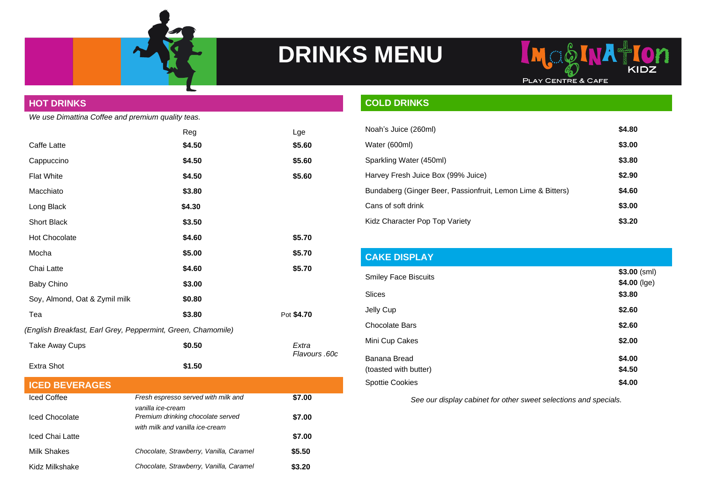



## **HOT DRINKS** *We use Dimattina Coffee and premium quality teas.* Reg Lge Caffe Latte **\$4.50 \$5.60** Cappuccino **\$4.50 \$5.60** Flat White **\$4.50 \$5.60** Macchiato **\$3.80** Long Black **\$4.30** Short Black **\$3.50** Hot Chocolate **\$4.60 \$5.70** Mocha **\$5.00 \$5.70** Chai Latte **\$4.60 \$5.70** Baby Chino**bist Chino** \$3.00 Soy, Almond, Oat & Zymil milk **\$0.80** Tea **\$3.80** Pot **\$4.70** *(English Breakfast, Earl Grey, Peppermint, Green, Chamomile)* Take Away Cups<br> **\$0.50 Extra** *Flavours .60c* Extra Shot **\$1.50 ICED BEVERAGES** Iced Coffee *Fresh espresso served with milk and vanilla ice-cream* **\$7.00** Iced Chocolate *Premium drinking chocolate served with milk and vanilla ice-cream* **\$7.00** Iced Chai Latte **\$7.00** Milk Shakes *Chocolate, Strawberry, Vanilla, Caramel* **\$5.50**

Kidz Milkshake *Chocolate, Strawberry, Vanilla, Caramel* **\$3.20**

## **COLD DRINKS**

| Noah's Juice (260ml)                                        | \$4.80 |
|-------------------------------------------------------------|--------|
| Water (600ml)                                               | \$3.00 |
| Sparkling Water (450ml)                                     | \$3.80 |
| Harvey Fresh Juice Box (99% Juice)                          | \$2.90 |
| Bundaberg (Ginger Beer, Passionfruit, Lemon Lime & Bitters) | \$4.60 |
| Cans of soft drink                                          | \$3.00 |
| Kidz Character Pop Top Variety                              | \$3.20 |

## **CAKE DISPLAY Smiley Face Biscuits \$3.00** (sml) **\$4.00** (lge) Slices **\$3.80** Jelly Cup **\$2.60** Chocolate Bars **\$2.60** Mini Cup Cakes **\$2.00** Banana Bread (toasted with butter) **\$4.00 \$4.50** Spottie Cookies **\$4.00**

*See our display cabinet for other sweet selections and specials.*